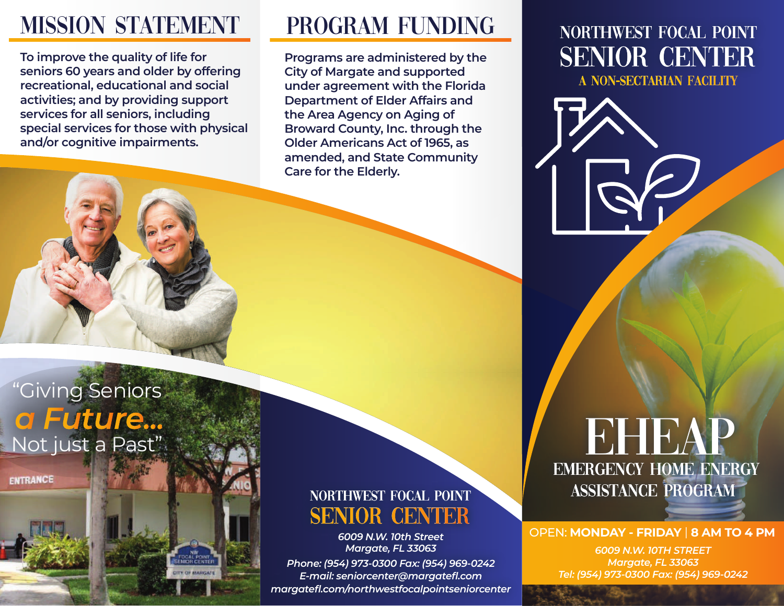# MISSION STATEMENT

**To improve the quality of life for seniors 60 years and older by offering recreational, educational and social activities; and by providing support services for all seniors, including special services for those with physical and/or cognitive impairments.**

# Program Funding

**Programs are administered by the City of Margate and supported under agreement with the Florida Department of Elder Affairs and the Area Agency on Aging of Broward County, Inc. through the Older Americans Act of 1965, as amended, and State Community Care for the Elderly.**

## "Giving Seniors a Future... Not just a Past"

FOCAL POINT

**ENTRANCE** 

### NORTHWEST FOCAL POINT **SENIOR CENTER**

*6009 N.W. 10th Street Margate, FL 33063 Phone: (954) 973-0300 Fax: (954) 969-0242 E-mail: seniorcenter@margatefl.com margatefl.com/northwestfocalpointseniorcenter*

### Northwest Focal Point A NON-SECTARIAN FACILITY **SENIOR CENTER**

EMERGENCY HOME ENERGY

EHEAP

Assistance Program

OPEN: **MONDAY - FRIDAY** | **8 AM TO 4 PM** *6009 N.W. 10TH STREET Margate, FL 33063 Tel: (954) 973-0300 Fax: (954) 969-0242*